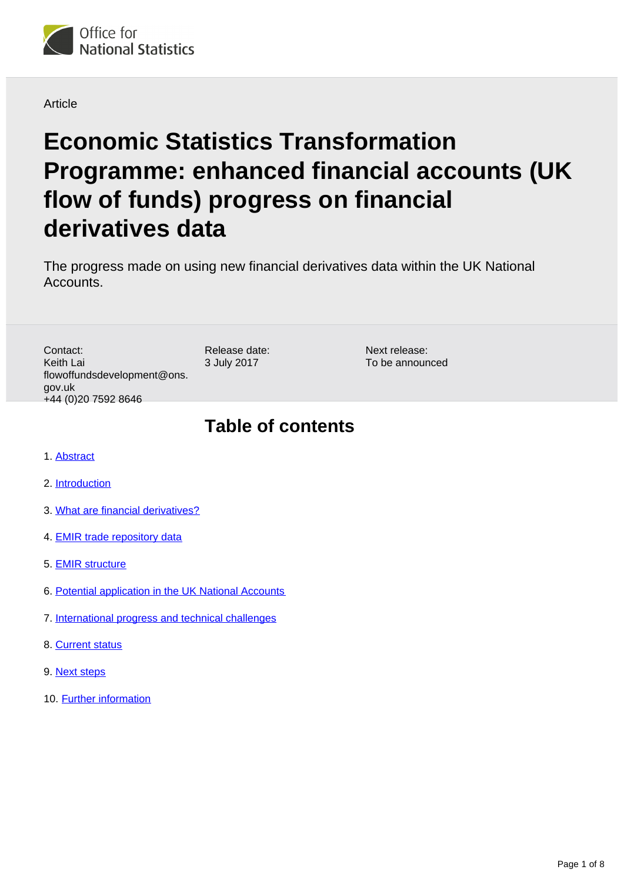

#### **Article**

# **Economic Statistics Transformation Programme: enhanced financial accounts (UK flow of funds) progress on financial derivatives data**

The progress made on using new financial derivatives data within the UK National **Accounts** 

Contact: Keith Lai flowoffundsdevelopment@ons. gov.uk +44 (0)20 7592 8646

Release date: 3 July 2017

Next release: To be announced

#### **Table of contents**

- 1. [Abstract](#page-1-0)
- 2. [Introduction](#page-1-1)
- 3. [What are financial derivatives?](#page-1-2)
- 4. [EMIR trade repository data](#page-2-0)
- 5. [EMIR structure](#page-3-0)
- 6. [Potential application in the UK National Accounts](#page-4-0)
- 7. [International progress and technical challenges](#page-5-0)
- 8. [Current status](#page-5-1)
- 9. [Next steps](#page-6-0)
- 10. [Further information](#page-6-1)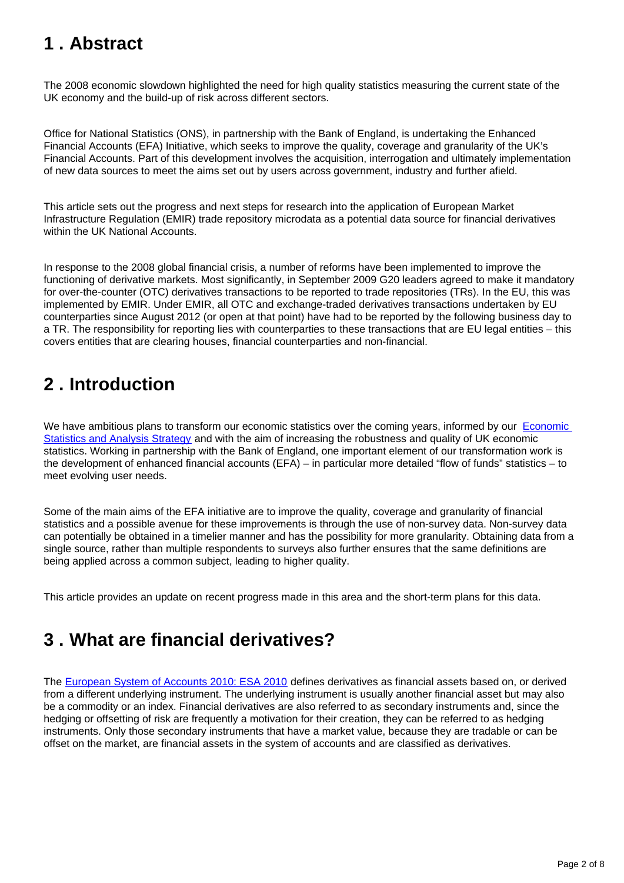# <span id="page-1-0"></span>**1 . Abstract**

The 2008 economic slowdown highlighted the need for high quality statistics measuring the current state of the UK economy and the build-up of risk across different sectors.

Office for National Statistics (ONS), in partnership with the Bank of England, is undertaking the Enhanced Financial Accounts (EFA) Initiative, which seeks to improve the quality, coverage and granularity of the UK's Financial Accounts. Part of this development involves the acquisition, interrogation and ultimately implementation of new data sources to meet the aims set out by users across government, industry and further afield.

This article sets out the progress and next steps for research into the application of European Market Infrastructure Regulation (EMIR) trade repository microdata as a potential data source for financial derivatives within the UK National Accounts.

In response to the 2008 global financial crisis, a number of reforms have been implemented to improve the functioning of derivative markets. Most significantly, in September 2009 G20 leaders agreed to make it mandatory for over-the-counter (OTC) derivatives transactions to be reported to trade repositories (TRs). In the EU, this was implemented by EMIR. Under EMIR, all OTC and exchange-traded derivatives transactions undertaken by EU counterparties since August 2012 (or open at that point) have had to be reported by the following business day to a TR. The responsibility for reporting lies with counterparties to these transactions that are EU legal entities – this covers entities that are clearing houses, financial counterparties and non-financial.

# <span id="page-1-1"></span>**2 . Introduction**

We have ambitious plans to transform our economic statistics over the coming years, informed by our Economic [Statistics and Analysis Strategy](https://www.ons.gov.uk/methodology/classificationsandstandards/economicstatisticsclassifications/economicstatisticsandanalysisstrategy) and with the aim of increasing the robustness and quality of UK economic statistics. Working in partnership with the Bank of England, one important element of our transformation work is the development of enhanced financial accounts (EFA) – in particular more detailed "flow of funds" statistics – to meet evolving user needs.

Some of the main aims of the EFA initiative are to improve the quality, coverage and granularity of financial statistics and a possible avenue for these improvements is through the use of non-survey data. Non-survey data can potentially be obtained in a timelier manner and has the possibility for more granularity. Obtaining data from a single source, rather than multiple respondents to surveys also further ensures that the same definitions are being applied across a common subject, leading to higher quality.

This article provides an update on recent progress made in this area and the short-term plans for this data.

# <span id="page-1-2"></span>**3 . What are financial derivatives?**

The [European System of Accounts 2010: ESA 2010](http://ec.europa.eu/eurostat/web/esa-2010) defines derivatives as financial assets based on, or derived from a different underlying instrument. The underlying instrument is usually another financial asset but may also be a commodity or an index. Financial derivatives are also referred to as secondary instruments and, since the hedging or offsetting of risk are frequently a motivation for their creation, they can be referred to as hedging instruments. Only those secondary instruments that have a market value, because they are tradable or can be offset on the market, are financial assets in the system of accounts and are classified as derivatives.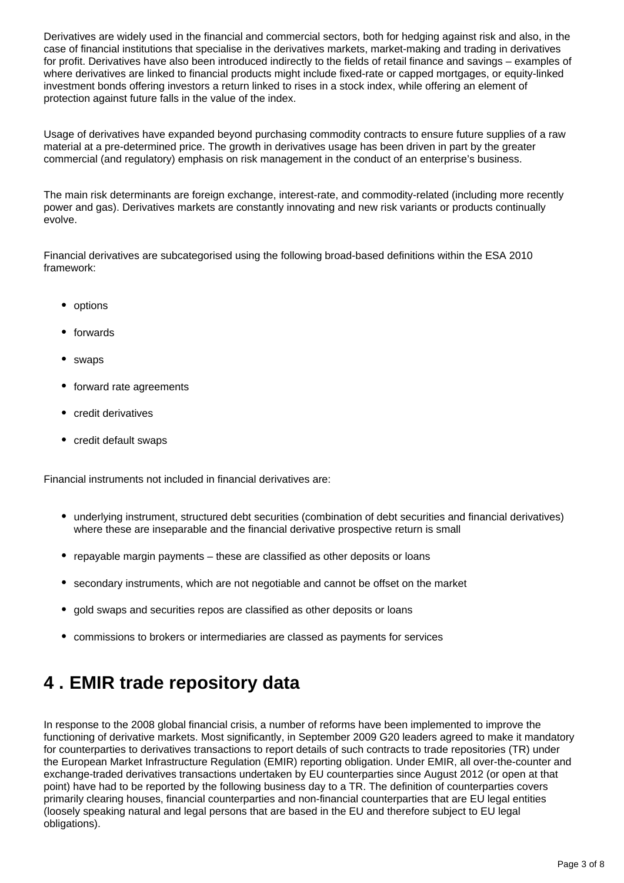Derivatives are widely used in the financial and commercial sectors, both for hedging against risk and also, in the case of financial institutions that specialise in the derivatives markets, market-making and trading in derivatives for profit. Derivatives have also been introduced indirectly to the fields of retail finance and savings – examples of where derivatives are linked to financial products might include fixed-rate or capped mortgages, or equity-linked investment bonds offering investors a return linked to rises in a stock index, while offering an element of protection against future falls in the value of the index.

Usage of derivatives have expanded beyond purchasing commodity contracts to ensure future supplies of a raw material at a pre-determined price. The growth in derivatives usage has been driven in part by the greater commercial (and regulatory) emphasis on risk management in the conduct of an enterprise's business.

The main risk determinants are foreign exchange, interest-rate, and commodity-related (including more recently power and gas). Derivatives markets are constantly innovating and new risk variants or products continually evolve.

Financial derivatives are subcategorised using the following broad-based definitions within the ESA 2010 framework:

- options
- forwards
- swaps
- forward rate agreements
- credit derivatives
- credit default swaps

Financial instruments not included in financial derivatives are:

- underlying instrument, structured debt securities (combination of debt securities and financial derivatives) where these are inseparable and the financial derivative prospective return is small
- repayable margin payments these are classified as other deposits or loans
- secondary instruments, which are not negotiable and cannot be offset on the market
- gold swaps and securities repos are classified as other deposits or loans
- commissions to brokers or intermediaries are classed as payments for services

### <span id="page-2-0"></span>**4 . EMIR trade repository data**

In response to the 2008 global financial crisis, a number of reforms have been implemented to improve the functioning of derivative markets. Most significantly, in September 2009 G20 leaders agreed to make it mandatory for counterparties to derivatives transactions to report details of such contracts to trade repositories (TR) under the European Market Infrastructure Regulation (EMIR) reporting obligation. Under EMIR, all over-the-counter and exchange-traded derivatives transactions undertaken by EU counterparties since August 2012 (or open at that point) have had to be reported by the following business day to a TR. The definition of counterparties covers primarily clearing houses, financial counterparties and non-financial counterparties that are EU legal entities (loosely speaking natural and legal persons that are based in the EU and therefore subject to EU legal obligations).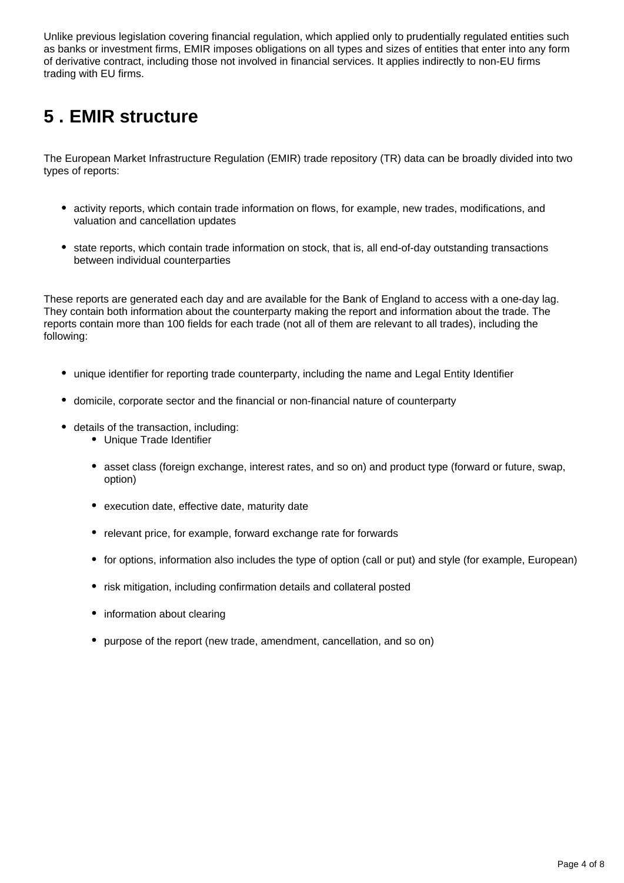Unlike previous legislation covering financial regulation, which applied only to prudentially regulated entities such as banks or investment firms, EMIR imposes obligations on all types and sizes of entities that enter into any form of derivative contract, including those not involved in financial services. It applies indirectly to non-EU firms trading with EU firms.

## <span id="page-3-0"></span>**5 . EMIR structure**

The European Market Infrastructure Regulation (EMIR) trade repository (TR) data can be broadly divided into two types of reports:

- activity reports, which contain trade information on flows, for example, new trades, modifications, and valuation and cancellation updates
- state reports, which contain trade information on stock, that is, all end-of-day outstanding transactions between individual counterparties

These reports are generated each day and are available for the Bank of England to access with a one-day lag. They contain both information about the counterparty making the report and information about the trade. The reports contain more than 100 fields for each trade (not all of them are relevant to all trades), including the following:

- unique identifier for reporting trade counterparty, including the name and Legal Entity Identifier
- domicile, corporate sector and the financial or non-financial nature of counterparty
- details of the transaction, including:
	- Unique Trade Identifier
	- asset class (foreign exchange, interest rates, and so on) and product type (forward or future, swap, option)
	- execution date, effective date, maturity date
	- relevant price, for example, forward exchange rate for forwards
	- for options, information also includes the type of option (call or put) and style (for example, European)
	- risk mitigation, including confirmation details and collateral posted
	- information about clearing
	- purpose of the report (new trade, amendment, cancellation, and so on)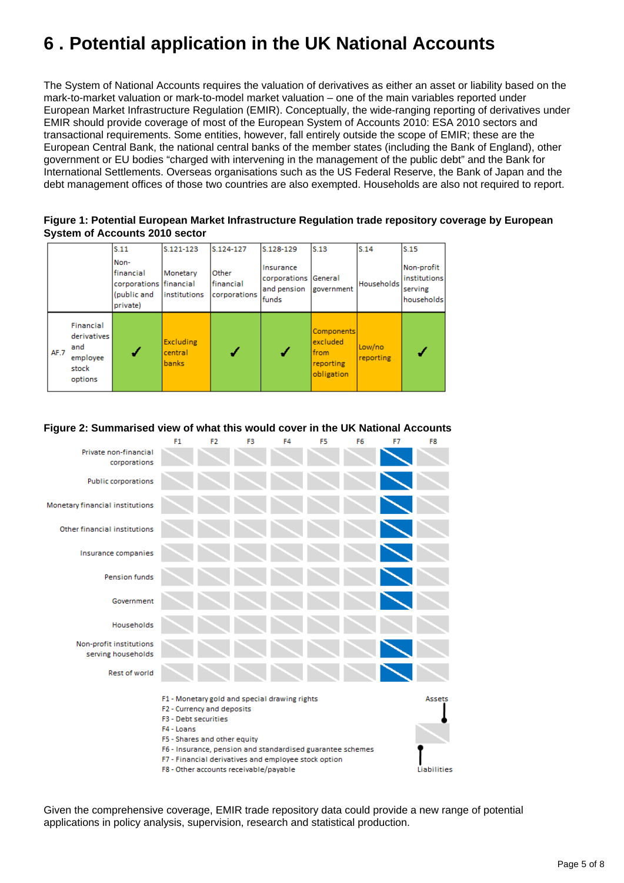# <span id="page-4-0"></span>**6 . Potential application in the UK National Accounts**

The System of National Accounts requires the valuation of derivatives as either an asset or liability based on the mark-to-market valuation or mark-to-model market valuation – one of the main variables reported under European Market Infrastructure Regulation (EMIR). Conceptually, the wide-ranging reporting of derivatives under EMIR should provide coverage of most of the European System of Accounts 2010: ESA 2010 sectors and transactional requirements. Some entities, however, fall entirely outside the scope of EMIR; these are the European Central Bank, the national central banks of the member states (including the Bank of England), other government or EU bodies "charged with intervening in the management of the public debt" and the Bank for International Settlements. Overseas organisations such as the US Federal Reserve, the Bank of Japan and the debt management offices of those two countries are also exempted. Households are also not required to report.

#### **Figure 1: Potential European Market Infrastructure Regulation trade repository coverage by European System of Accounts 2010 sector**



#### **Figure 2: Summarised view of what this would cover in the UK National Accounts**



Given the comprehensive coverage, EMIR trade repository data could provide a new range of potential applications in policy analysis, supervision, research and statistical production.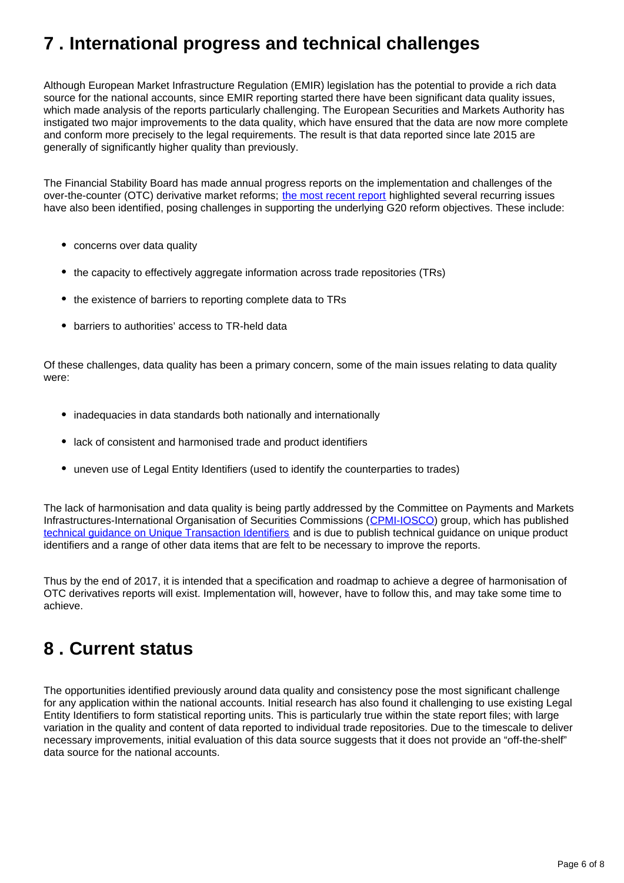## <span id="page-5-0"></span>**7 . International progress and technical challenges**

Although European Market Infrastructure Regulation (EMIR) legislation has the potential to provide a rich data source for the national accounts, since EMIR reporting started there have been significant data quality issues, which made analysis of the reports particularly challenging. The European Securities and Markets Authority has instigated two major improvements to the data quality, which have ensured that the data are now more complete and conform more precisely to the legal requirements. The result is that data reported since late 2015 are generally of significantly higher quality than previously.

The Financial Stability Board has made annual progress reports on the implementation and challenges of the over-the-counter (OTC) derivative market reforms; [the most recent report](http://www.fsb.org/2016/08/otc-derivatives-market-reforms-eleventh-progress-report-on-implementation/) highlighted several recurring issues have also been identified, posing challenges in supporting the underlying G20 reform objectives. These include:

- concerns over data quality
- the capacity to effectively aggregate information across trade repositories (TRs)
- the existence of barriers to reporting complete data to TRs
- barriers to authorities' access to TR-held data

Of these challenges, data quality has been a primary concern, some of the main issues relating to data quality were:

- inadequacies in data standards both nationally and internationally
- lack of consistent and harmonised trade and product identifiers
- uneven use of Legal Entity Identifiers (used to identify the counterparties to trades)

The lack of harmonisation and data quality is being partly addressed by the Committee on Payments and Markets Infrastructures-International Organisation of Securities Commissions ([CPMI-IOSCO](https://www.iosco.org/about/?subsection=cpmi_iosco)) group, which has published [technical guidance on Unique Transaction Identifiers](http://www.iosco.org/library/pubdocs/pdf/IOSCOPD500.pdf) and is due to publish technical guidance on unique product identifiers and a range of other data items that are felt to be necessary to improve the reports.

Thus by the end of 2017, it is intended that a specification and roadmap to achieve a degree of harmonisation of OTC derivatives reports will exist. Implementation will, however, have to follow this, and may take some time to achieve.

# <span id="page-5-1"></span>**8 . Current status**

The opportunities identified previously around data quality and consistency pose the most significant challenge for any application within the national accounts. Initial research has also found it challenging to use existing Legal Entity Identifiers to form statistical reporting units. This is particularly true within the state report files; with large variation in the quality and content of data reported to individual trade repositories. Due to the timescale to deliver necessary improvements, initial evaluation of this data source suggests that it does not provide an "off-the-shelf" data source for the national accounts.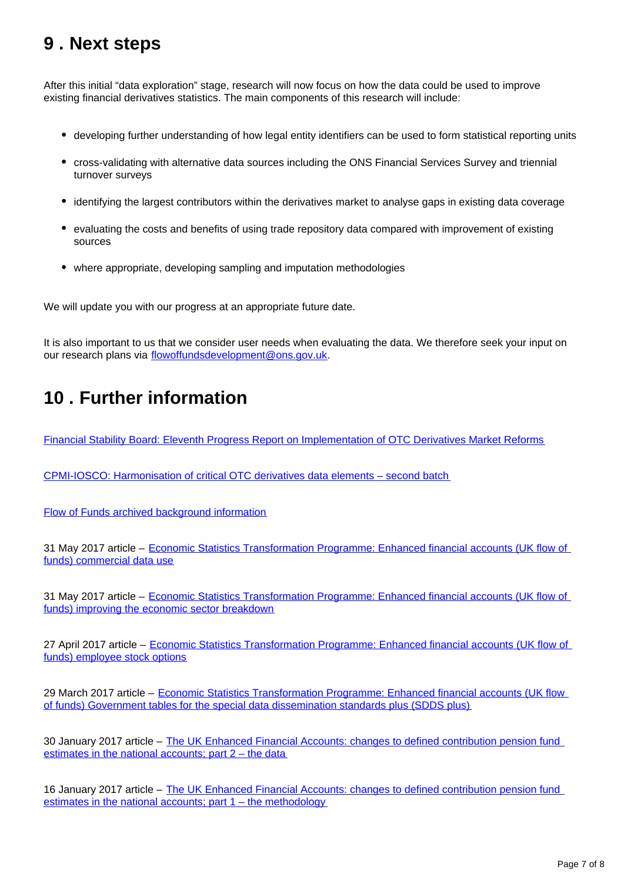### <span id="page-6-0"></span>**9 . Next steps**

After this initial "data exploration" stage, research will now focus on how the data could be used to improve existing financial derivatives statistics. The main components of this research will include:

- developing further understanding of how legal entity identifiers can be used to form statistical reporting units
- cross-validating with alternative data sources including the ONS Financial Services Survey and triennial turnover surveys
- identifying the largest contributors within the derivatives market to analyse gaps in existing data coverage
- evaluating the costs and benefits of using trade repository data compared with improvement of existing sources
- where appropriate, developing sampling and imputation methodologies

We will update you with our progress at an appropriate future date.

It is also important to us that we consider user needs when evaluating the data. We therefore seek your input on our research plans via flowoffundsdevelopment@ons.gov.uk.

### <span id="page-6-1"></span>**10 . Further information**

[Financial Stability Board: Eleventh Progress Report on Implementation of OTC Derivatives Market Reforms](http://www.fsb.org/2016/08/otc-derivatives-market-reforms-eleventh-progress-report-on-implementation/)

[CPMI-IOSCO: Harmonisation of critical OTC derivatives data elements – second batch](https://www.iosco.org/library/pubdocs/pdf/IOSCOPD545.pdf)

[Flow of Funds archived background information](http://webarchive.nationalarchives.gov.uk/20160105160709/http:/www.ons.gov.uk/ons/guide-method/method-quality/specific/economy/national-accounts/changes-to-national-accounts/flow-of-funds--fof-/index.html)

31 May 2017 article – [Economic Statistics Transformation Programme: Enhanced financial accounts \(UK flow of](https://www.ons.gov.uk/economy/nationalaccounts/uksectoraccounts/articles/economicstatisticstransformationprogramme/enhancedfinancialaccountsukflowoffundsplansforcommercialdatause)  [funds\) commercial data use](https://www.ons.gov.uk/economy/nationalaccounts/uksectoraccounts/articles/economicstatisticstransformationprogramme/enhancedfinancialaccountsukflowoffundsplansforcommercialdatause)

31 May 2017 article – Economic Statistics Transformation Programme: Enhanced financial accounts (UK flow of [funds\) improving the economic sector breakdown](https://www.ons.gov.uk/economy/nationalaccounts/uksectoraccounts/articles/economicstatisticstransformationprogramme/enhancedfinancialaccountsukflowoffundsimprovingtheeconomicsectorbreakdown)

27 April 2017 article – [Economic Statistics Transformation Programme: Enhanced financial accounts \(UK flow of](https://www.ons.gov.uk/economy/nationalaccounts/uksectoraccounts/articles/economicstatisticstransformationprogramme/enhancedfinancialaccountsukflowoffundsemployeestockoptions)  [funds\) employee stock options](https://www.ons.gov.uk/economy/nationalaccounts/uksectoraccounts/articles/economicstatisticstransformationprogramme/enhancedfinancialaccountsukflowoffundsemployeestockoptions)

29 March 2017 article - Economic Statistics Transformation Programme: Enhanced financial accounts (UK flow [of funds\) Government tables for the special data dissemination standards plus \(SDDS plus\)](https://www.ons.gov.uk/economy/nationalaccounts/uksectoraccounts/articles/economicstatisticstransformationprogramme/enhancedfinancialaccountsukflowoffundsgovernmenttablesforthespecialdatadisseminationstandardsplussdds)

30 January 2017 article – [The UK Enhanced Financial Accounts: changes to defined contribution pension fund](https://www.ons.gov.uk/economy/nationalaccounts/uksectoraccounts/methodologies/theukenhancedfinancialaccountschangestodefinedcontributionpensionfundestimatesinthenationalaccountspart2thedata)  [estimates in the national accounts; part 2 – the data](https://www.ons.gov.uk/economy/nationalaccounts/uksectoraccounts/methodologies/theukenhancedfinancialaccountschangestodefinedcontributionpensionfundestimatesinthenationalaccountspart2thedata)

16 January 2017 article – The UK Enhanced Financial Accounts: changes to defined contribution pension fund [estimates in the national accounts; part 1 – the methodology](https://www.ons.gov.uk/economy/nationalaccounts/uksectoraccounts/methodologies/theukenhancedfinancialaccountschangestodefinedcontributionpensionfundestimatesinthenationalaccountspart1themethods)